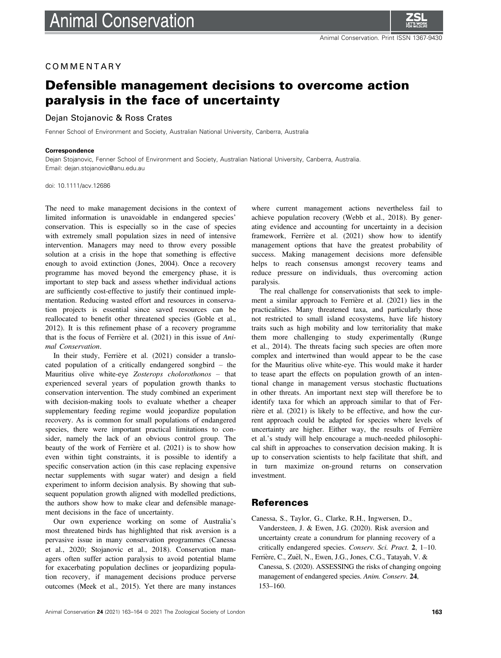

## COMMENTARY

# Defensible management decisions to overcome action paralysis in the face of uncertainty

#### Dejan Stojanovic & Ross Crates

Fenner School of Environment and Society, Australian National University, Canberra, Australia

#### **Correspondence**

Dejan Stojanovic, Fenner School of Environment and Society, Australian National University, Canberra, Australia. Email: [dejan.stojanovic@anu.edu.au](mailto:)

doi: 10.1111/acv.12686

The need to make management decisions in the context of limited information is unavoidable in endangered species' conservation. This is especially so in the case of species with extremely small population sizes in need of intensive intervention. Managers may need to throw every possible solution at a crisis in the hope that something is effective enough to avoid extinction (Jones, 2004). Once a recovery programme has moved beyond the emergency phase, it is important to step back and assess whether individual actions are sufficiently cost-effective to justify their continued implementation. Reducing wasted effort and resources in conservation projects is essential since saved resources can be reallocated to benefit other threatened species (Goble et al., 2012). It is this refinement phase of a recovery programme that is the focus of Ferrière et al. (2021) in this issue of Animal Conservation.

In their study, Ferrière et al. (2021) consider a translocated population of a critically endangered songbird – the Mauritius olive white-eye Zosterops cholorothonos – that experienced several years of population growth thanks to conservation intervention. The study combined an experiment with decision-making tools to evaluate whether a cheaper supplementary feeding regime would jeopardize population recovery. As is common for small populations of endangered species, there were important practical limitations to consider, namely the lack of an obvious control group. The beauty of the work of Ferrière et al. (2021) is to show how even within tight constraints, it is possible to identify a specific conservation action (in this case replacing expensive nectar supplements with sugar water) and design a field experiment to inform decision analysis. By showing that subsequent population growth aligned with modelled predictions, the authors show how to make clear and defensible management decisions in the face of uncertainty.

Our own experience working on some of Australia's most threatened birds has highlighted that risk aversion is a pervasive issue in many conservation programmes (Canessa et al., 2020; Stojanovic et al., 2018). Conservation managers often suffer action paralysis to avoid potential blame for exacerbating population declines or jeopardizing population recovery, if management decisions produce perverse outcomes (Meek et al., 2015). Yet there are many instances

where current management actions nevertheless fail to achieve population recovery (Webb et al., 2018). By generating evidence and accounting for uncertainty in a decision framework, Ferrière et al. (2021) show how to identify management options that have the greatest probability of success. Making management decisions more defensible helps to reach consensus amongst recovery teams and reduce pressure on individuals, thus overcoming action paralysis.

The real challenge for conservationists that seek to implement a similar approach to Ferrière et al. (2021) lies in the practicalities. Many threatened taxa, and particularly those not restricted to small island ecosystems, have life history traits such as high mobility and low territoriality that make them more challenging to study experimentally (Runge et al., 2014). The threats facing such species are often more complex and intertwined than would appear to be the case for the Mauritius olive white-eye. This would make it harder to tease apart the effects on population growth of an intentional change in management versus stochastic fluctuations in other threats. An important next step will therefore be to identify taxa for which an approach similar to that of Ferrière et al. (2021) is likely to be effective, and how the current approach could be adapted for species where levels of uncertainty are higher. Either way, the results of Ferrière et al.'s study will help encourage a much-needed philosophical shift in approaches to conservation decision making. It is up to conservation scientists to help facilitate that shift, and in turn maximize on-ground returns on conservation investment.

### References

- Canessa, S., Taylor, G., Clarke, R.H., Ingwersen, D., Vandersteen, J. & Ewen, J.G. (2020). Risk aversion and uncertainty create a conundrum for planning recovery of a critically endangered species. Conserv. Sci. Pract. 2, 1–10.
- Ferrière, C., Zuël, N., Ewen, J.G., Jones, C.G., Tatayah, V. & Canessa, S. (2020). ASSESSING the risks of changing ongoing management of endangered species. Anim. Conserv. 24, 153–160.